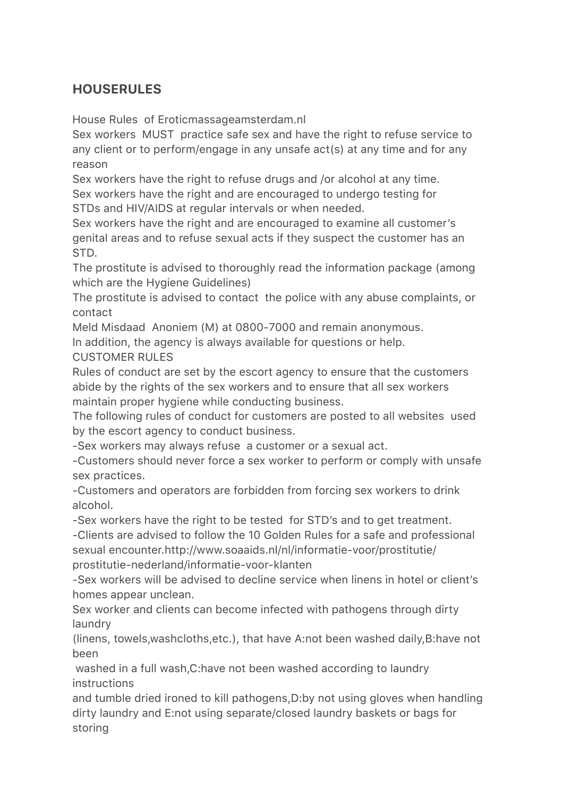## **HOUSERULES**

House Rules of Eroticmassageamsterdam.nl

Sex workers MUST practice safe sex and have the right to refuse service to any client or to perform/engage in any unsafe act(s) at any time and for any reason

Sex workers have the right to refuse drugs and /or alcohol at any time. Sex workers have the right and are encouraged to undergo testing for STDs and HIV/AIDS at regular intervals or when needed.

Sex workers have the right and are encouraged to examine all customer's genital areas and to refuse sexual acts if they suspect the customer has an STD.

The prostitute is advised to thoroughly read the information package (among which are the Hygiene Guidelines)

The prostitute is advised to contact the police with any abuse complaints, or contact

Meld Misdaad Anoniem (M) at 0800-7000 and remain anonymous.

In addition, the agency is always available for questions or help.

CUSTOMER RULES

Rules of conduct are set by the escort agency to ensure that the customers abide by the rights of the sex workers and to ensure that all sex workers maintain proper hygiene while conducting business.

The following rules of conduct for customers are posted to all websites used by the escort agency to conduct business.

-Sex workers may always refuse a customer or a sexual act.

-Customers should never force a sex worker to perform or comply with unsafe sex practices.

-Customers and operators are forbidden from forcing sex workers to drink alcohol.

-Sex workers have the right to be tested for STD's and to get treatment.

-Clients are advised to follow the 10 Golden Rules for a safe and professional sexual encounter.http://www.soaaids.nl/nl/informatie-voor/prostitutie/ prostitutie-nederland/informatie-voor-klanten

-Sex workers will be advised to decline service when linens in hotel or client's homes appear unclean.

Sex worker and clients can become infected with pathogens through dirty laundry

(linens, towels,washcloths,etc.), that have A:not been washed daily,B:have not been

 washed in a full wash,C:have not been washed according to laundry instructions

and tumble dried ironed to kill pathogens,D:by not using gloves when handling dirty laundry and E:not using separate/closed laundry baskets or bags for storing